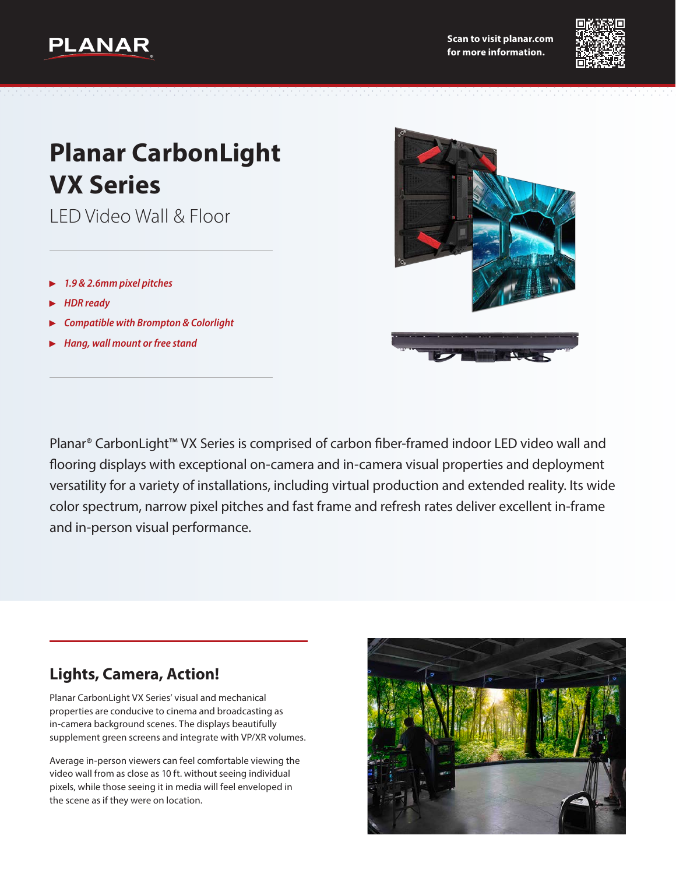## **PLANAR**



# **Planar CarbonLight VX Series**

LED Video Wall & Floor

- ▶ *1.9 & 2.6mm pixel pitches*
- ▶ *HDR ready*
- **Compatible with Brompton & Colorlight**
- ▶ *Hang, wall mount or free stand*

Planar® CarbonLight™ VX Series is comprised of carbon fiber-framed indoor LED video wall and flooring displays with exceptional on-camera and in-camera visual properties and deployment versatility for a variety of installations, including virtual production and extended reality. Its wide color spectrum, narrow pixel pitches and fast frame and refresh rates deliver excellent in-frame and in-person visual performance.

### **Lights, Camera, Action!**

Planar CarbonLight VX Series' visual and mechanical properties are conducive to cinema and broadcasting as in-camera background scenes. The displays beautifully supplement green screens and integrate with VP/XR volumes.

Average in-person viewers can feel comfortable viewing the video wall from as close as 10 ft. without seeing individual pixels, while those seeing it in media will feel enveloped in the scene as if they were on location.



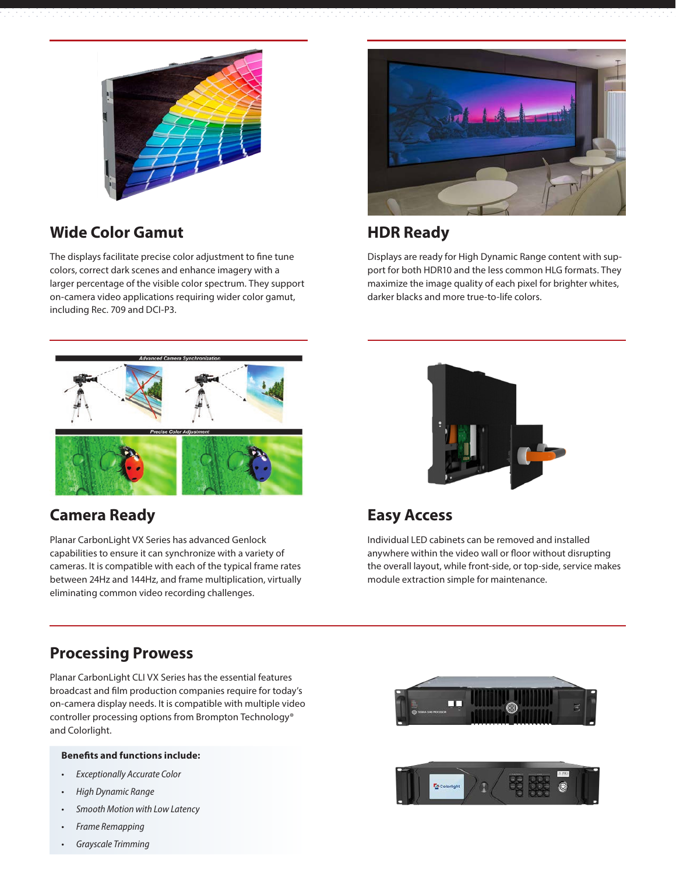

### **Wide Color Gamut HDR Ready**

The displays facilitate precise color adjustment to fine tune colors, correct dark scenes and enhance imagery with a larger percentage of the visible color spectrum. They support on-camera video applications requiring wider color gamut, including Rec. 709 and DCI-P3.



Displays are ready for High Dynamic Range content with support for both HDR10 and the less common HLG formats. They maximize the image quality of each pixel for brighter whites, darker blacks and more true-to-life colors.



### **Camera Ready**

Planar CarbonLight VX Series has advanced Genlock capabilities to ensure it can synchronize with a variety of cameras. It is compatible with each of the typical frame rates between 24Hz and 144Hz, and frame multiplication, virtually eliminating common video recording challenges.



### **Easy Access**

Individual LED cabinets can be removed and installed anywhere within the video wall or floor without disrupting the overall layout, while front-side, or top-side, service makes module extraction simple for maintenance.

### **Processing Prowess**

Planar CarbonLight CLI VX Series has the essential features broadcast and film production companies require for today's on-camera display needs. It is compatible with multiple video controller processing options from Brompton Technology® and Colorlight.

#### **Benefits and functions include:**

- *• Exceptionally Accurate Color*
- *• High Dynamic Range*
- *• Smooth Motion with Low Latency*
- *• Frame Remapping*
- *• Grayscale Trimming*



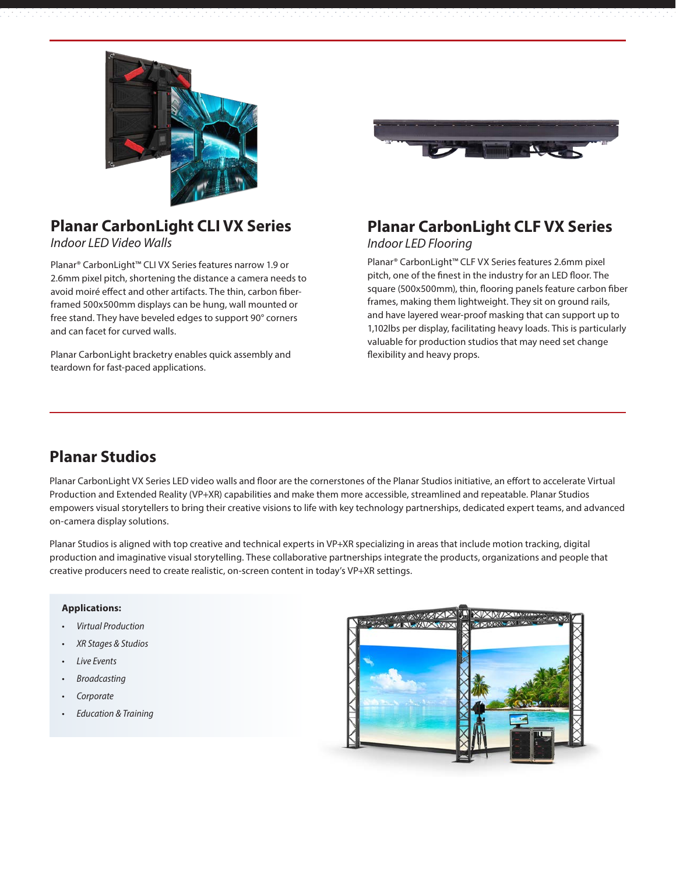

### **Planar CarbonLight CLI VX Series**

*Indoor LED Video Walls*

Planar® CarbonLight™ CLI VX Series features narrow 1.9 or 2.6mm pixel pitch, shortening the distance a camera needs to avoid moiré effect and other artifacts. The thin, carbon fiberframed 500x500mm displays can be hung, wall mounted or free stand. They have beveled edges to support 90° corners and can facet for curved walls.

Planar CarbonLight bracketry enables quick assembly and teardown for fast-paced applications.



### **Planar CarbonLight CLF VX Series**

### *Indoor LED Flooring*

Planar® CarbonLight™ CLF VX Series features 2.6mm pixel pitch, one of the finest in the industry for an LED floor. The square (500x500mm), thin, flooring panels feature carbon fiber frames, making them lightweight. They sit on ground rails, and have layered wear-proof masking that can support up to 1,102lbs per display, facilitating heavy loads. This is particularly valuable for production studios that may need set change flexibility and heavy props.

### **Planar Studios**

Planar CarbonLight VX Series LED video walls and floor are the cornerstones of the Planar Studios initiative, an effort to accelerate Virtual Production and Extended Reality (VP+XR) capabilities and make them more accessible, streamlined and repeatable. Planar Studios empowers visual storytellers to bring their creative visions to life with key technology partnerships, dedicated expert teams, and advanced on-camera display solutions.

Planar Studios is aligned with top creative and technical experts in VP+XR specializing in areas that include motion tracking, digital production and imaginative visual storytelling. These collaborative partnerships integrate the products, organizations and people that creative producers need to create realistic, on-screen content in today's VP+XR settings.

#### **Applications:**

- *• Virtual Production*
- *• XR Stages & Studios*
- *• Live Events*
- *• Broadcasting*
- *• Corporate*
- *• Education & Training*